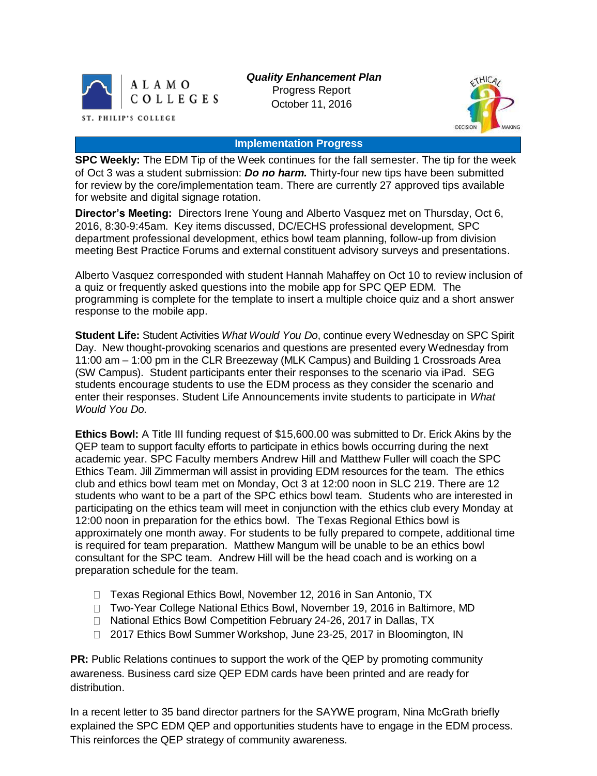

*Quality Enhancement Plan* Progress Report October 11, 2016



#### **Implementation Progress**

**SPC Weekly:** The EDM Tip of the Week continues for the fall semester. The tip for the week of Oct 3 was a student submission: *Do no harm.* Thirty-four new tips have been submitted for review by the core/implementation team. There are currently 27 approved tips available for website and digital signage rotation.

**Director's Meeting:** Directors Irene Young and Alberto Vasquez met on Thursday, Oct 6, 2016, 8:30-9:45am. Key items discussed, DC/ECHS professional development, SPC department professional development, ethics bowl team planning, follow-up from division meeting Best Practice Forums and external constituent advisory surveys and presentations.

Alberto Vasquez corresponded with student Hannah Mahaffey on Oct 10 to review inclusion of a quiz or frequently asked questions into the mobile app for SPC QEP EDM. The programming is complete for the template to insert a multiple choice quiz and a short answer response to the mobile app.

**Student Life:** Student Activities *What Would You Do*, continue every Wednesday on SPC Spirit Day. New thought-provoking scenarios and questions are presented every Wednesday from 11:00 am – 1:00 pm in the CLR Breezeway (MLK Campus) and Building 1 Crossroads Area (SW Campus). Student participants enter their responses to the scenario via iPad. SEG students encourage students to use the EDM process as they consider the scenario and enter their responses. Student Life Announcements invite students to participate in *What Would You Do.*

**Ethics Bowl:** A Title III funding request of \$15,600.00 was submitted to Dr. Erick Akins by the QEP team to support faculty efforts to participate in ethics bowls occurring during the next academic year. SPC Faculty members Andrew Hill and Matthew Fuller will coach the SPC Ethics Team. Jill Zimmerman will assist in providing EDM resources for the team. The ethics club and ethics bowl team met on Monday, Oct 3 at 12:00 noon in SLC 219. There are 12 students who want to be a part of the SPC ethics bowl team. Students who are interested in participating on the ethics team will meet in conjunction with the ethics club every Monday at 12:00 noon in preparation for the ethics bowl. The Texas Regional Ethics bowl is approximately one month away. For students to be fully prepared to compete, additional time is required for team preparation. Matthew Mangum will be unable to be an ethics bowl consultant for the SPC team. Andrew Hill will be the head coach and is working on a preparation schedule for the team.

- □ Texas Regional Ethics Bowl, November 12, 2016 in San Antonio, TX
- □ Two-Year College National Ethics Bowl, November 19, 2016 in Baltimore, MD
- □ National Ethics Bowl Competition February 24-26, 2017 in Dallas, TX
- □ 2017 Ethics Bowl Summer Workshop, June 23-25, 2017 in Bloomington, IN

**PR:** Public Relations continues to support the work of the QEP by promoting community awareness. Business card size QEP EDM cards have been printed and are ready for distribution.

In a recent letter to 35 band director partners for the SAYWE program, Nina McGrath briefly explained the SPC EDM QEP and opportunities students have to engage in the EDM process. This reinforces the QEP strategy of community awareness.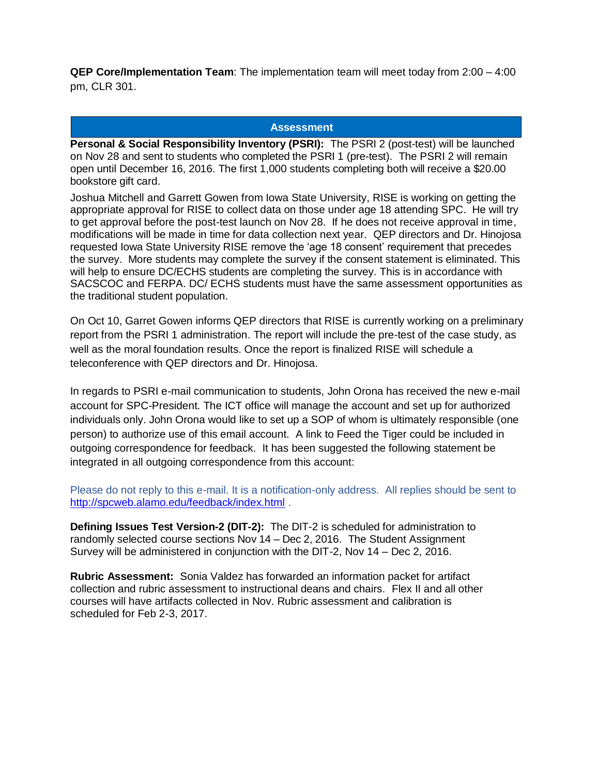**QEP Core/Implementation Team**: The implementation team will meet today from 2:00 – 4:00 pm, CLR 301.

#### **Assessment**

**Personal & Social Responsibility Inventory (PSRI):** The PSRI 2 (post-test) will be launched on Nov 28 and sent to students who completed the PSRI 1 (pre-test). The PSRI 2 will remain open until December 16, 2016. The first 1,000 students completing both will receive a \$20.00 bookstore gift card.

Joshua Mitchell and Garrett Gowen from Iowa State University, RISE is working on getting the appropriate approval for RISE to collect data on those under age 18 attending SPC. He will try to get approval before the post-test launch on Nov 28. If he does not receive approval in time, modifications will be made in time for data collection next year. QEP directors and Dr. Hinojosa requested Iowa State University RISE remove the 'age 18 consent' requirement that precedes the survey. More students may complete the survey if the consent statement is eliminated. This will help to ensure DC/ECHS students are completing the survey. This is in accordance with SACSCOC and FERPA. DC/ ECHS students must have the same assessment opportunities as the traditional student population.

On Oct 10, Garret Gowen informs QEP directors that RISE is currently working on a preliminary report from the PSRI 1 administration. The report will include the pre-test of the case study, as well as the moral foundation results. Once the report is finalized RISE will schedule a teleconference with QEP directors and Dr. Hinojosa.

In regards to PSRI e-mail communication to students, John Orona has received the new e-mail account for SPC-President. The ICT office will manage the account and set up for authorized individuals only. John Orona would like to set up a SOP of whom is ultimately responsible (one person) to authorize use of this email account. A link to Feed the Tiger could be included in outgoing correspondence for feedback. It has been suggested the following statement be integrated in all outgoing correspondence from this account:

Please do not reply to this e-mail. It is a notification-only address. All replies should be sent to [http://spcweb.alamo.edu/feedback/index.html](https://mail.alamo.edu/owa/redir.aspx?C=mawO8X7fmD1aNFeUldgaleTfj86GBQJz2F8Z990APU7i6ZYu1u7TCA..&URL=http%3a%2f%2fspcweb.alamo.edu%2ffeedback%2findex.html) .

**Defining Issues Test Version-2 (DIT-2):** The DIT-2 is scheduled for administration to randomly selected course sections Nov 14 – Dec 2, 2016. The Student Assignment Survey will be administered in conjunction with the DIT-2, Nov 14 – Dec 2, 2016.

**Rubric Assessment:** Sonia Valdez has forwarded an information packet for artifact collection and rubric assessment to instructional deans and chairs. Flex II and all other courses will have artifacts collected in Nov. Rubric assessment and calibration is scheduled for Feb 2-3, 2017.